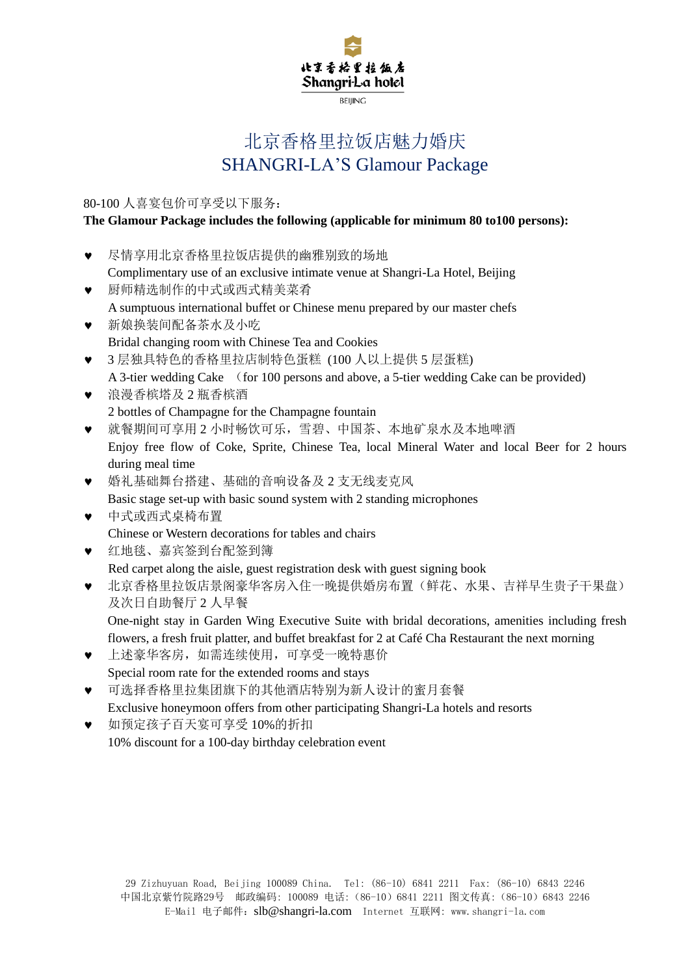

# 北京香格里拉饭店魅力婚庆 SHANGRI-LA'S Glamour Package

80-100 人喜宴包价可享受以下服务:

### **The Glamour Package includes the following (applicable for minimum 80 to100 persons):**

- 尽情享用北京香格里拉饭店提供的幽雅别致的场地 Complimentary use of an exclusive intimate venue at Shangri-La Hotel, Beijing
- 厨师精选制作的中式或西式精美菜肴 A sumptuous international buffet or Chinese menu prepared by our master chefs
- 新娘换装间配备茶水及小吃 Bridal changing room with Chinese Tea and Cookies
- 3 层独具特色的香格里拉店制特色蛋糕 (100 人以上提供 5 层蛋糕) A 3-tier wedding Cake (for 100 persons and above, a 5-tier wedding Cake can be provided)
- 浪漫香槟塔及 2 瓶香槟酒 2 bottles of Champagne for the Champagne fountain
- 就餐期间可享用 2 小时畅饮可乐,雪碧、中国茶、本地矿泉水及本地啤酒 Enjoy free flow of Coke, Sprite, Chinese Tea, local Mineral Water and local Beer for 2 hours during meal time
- 婚礼基础舞台搭建、基础的音响设备及 2 支无线麦克风 Basic stage set-up with basic sound system with 2 standing microphones
- 中式或西式桌椅布置 Chinese or Western decorations for tables and chairs
- 红地毯、嘉宾签到台配签到簿

Red carpet along the aisle, guest registration desk with guest signing book

 北京香格里拉饭店景阁豪华客房入住一晚提供婚房布置(鲜花、水果、吉祥早生贵子干果盘) 及次日自助餐厅 2 人早餐

One-night stay in Garden Wing Executive Suite with bridal decorations, amenities including fresh flowers, a fresh fruit platter, and buffet breakfast for 2 at Café Cha Restaurant the next morning

- 上述豪华客房,如需连续使用,可享受一晚特惠价 Special room rate for the extended rooms and stays
- 可选择香格里拉集团旗下的其他酒店特别为新人设计的蜜月套餐 Exclusive honeymoon offers from other participating Shangri-La hotels and resorts
- 如预定孩子百天宴可享受 10%的折扣 10% discount for a 100-day birthday celebration event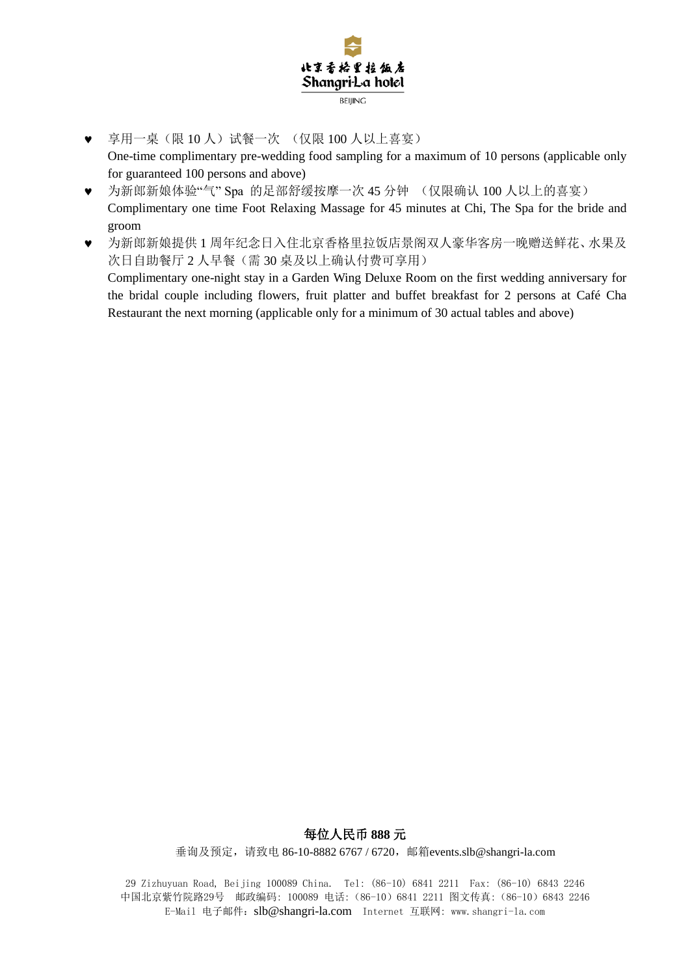

- 享用一桌(限 10 人)试餐一次 (仅限 100 人以上喜宴) One-time complimentary pre-wedding food sampling for a maximum of 10 persons (applicable only for guaranteed 100 persons and above)
- 为新郎新娘体验"气" Spa 的足部舒缓按摩一次 45 分钟 (仅限确认 100 人以上的喜宴) Complimentary one time Foot Relaxing Massage for 45 minutes at Chi, The Spa for the bride and groom
- 为新郎新娘提供 1 周年纪念日入住北京香格里拉饭店景阁双人豪华客房一晚赠送鲜花、水果及 次日自助餐厅 2 人早餐(需 30 桌及以上确认付费可享用) Complimentary one-night stay in a Garden Wing Deluxe Room on the first wedding anniversary for the bridal couple including flowers, fruit platter and buffet breakfast for 2 persons at Café Cha Restaurant the next morning (applicable only for a minimum of 30 actual tables and above)

## 每位人民币 **888** 元

垂询及预定, 请致电 86-10-8882 6767 / 6720, 邮箱[events.slb@shangri-la.com](mailto:events.slb@shangri-la.com)

29 Zizhuyuan Road, Beijing 100089 China. Tel: (86-10) 6841 2211 Fax: (86-10) 6843 2246 中国北京紫竹院路29号 邮政编码: 100089 电话:(86-10)6841 2211 图文传真:(86-10)6843 2246 E-Mail 电子邮件:[slb@shangri-la.com](mailto:slb@shangri-la.com) Internet 互联网: www.shangri-la.com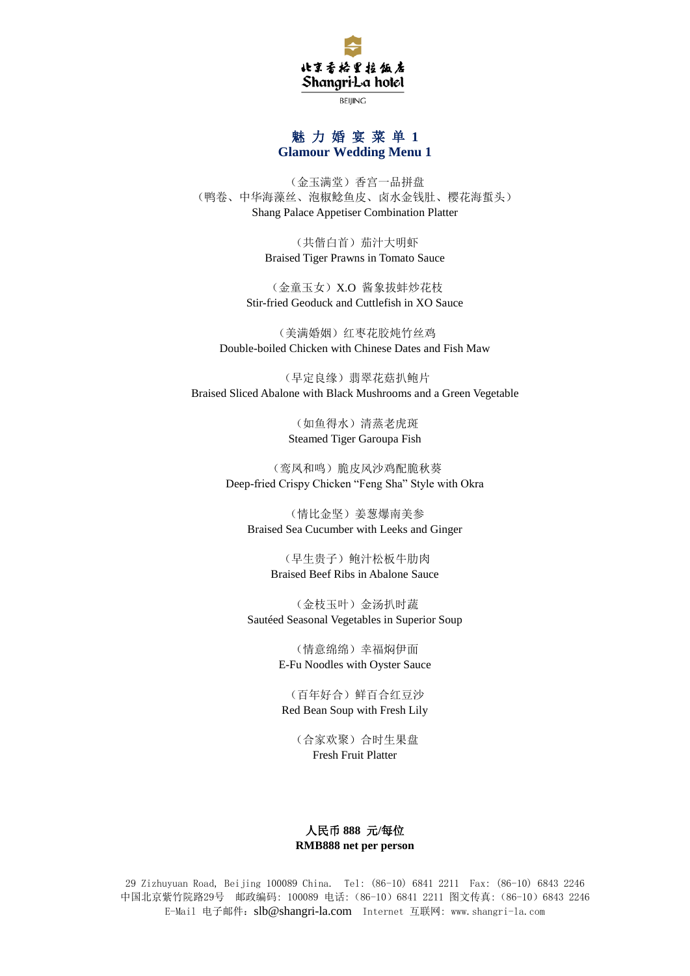

**BEIJING** 

### 魅 力 婚 宴 菜 单 **1 Glamour Wedding Menu 1**

(金玉满堂)香宫一品拼盘 (鸭卷、中华海藻丝、泡椒鲶鱼皮、卤水金钱肚、樱花海蜇头) Shang Palace Appetiser Combination Platter

> (共偕白首)茄汁大明虾 Braised Tiger Prawns in Tomato Sauce

(金童玉女)X.O 酱象拔蚌炒花枝 Stir-fried Geoduck and Cuttlefish in XO Sauce

(美满婚姻)红枣花胶炖竹丝鸡 Double-boiled Chicken with Chinese Dates and Fish Maw

(早定良缘)翡翠花菇扒鲍片 Braised Sliced Abalone with Black Mushrooms and a Green Vegetable

> (如鱼得水)清蒸老虎斑 Steamed Tiger Garoupa Fish

(鸾凤和鸣)脆皮风沙鸡配脆秋葵 Deep-fried Crispy Chicken "Feng Sha" Style with Okra

(情比金坚)姜葱爆南美参 Braised Sea Cucumber with Leeks and Ginger

> (早生贵子)鲍汁松板牛肋肉 Braised Beef Ribs in Abalone Sauce

(金枝玉叶)金汤扒时蔬 Sautéed Seasonal Vegetables in Superior Soup

> (情意绵绵)幸福焖伊面 E-Fu Noodles with Oyster Sauce

(百年好合)鲜百合红豆沙 Red Bean Soup with Fresh Lily

> (合家欢聚)合时生果盘 Fresh Fruit Platter

#### 人民币 **888** 元**/**每位 **RMB888 net per person**

29 Zizhuyuan Road, Beijing 100089 China. Tel: (86-10) 6841 2211 Fax: (86-10) 6843 2246 中国北京紫竹院路29号 邮政编码: 100089 电话:(86-10)6841 2211 图文传真:(86-10)6843 2246 E-Mail 电子邮件:[slb@shangri-la.com](mailto:slb@shangri-la.com) Internet 互联网: www.shangri-la.com